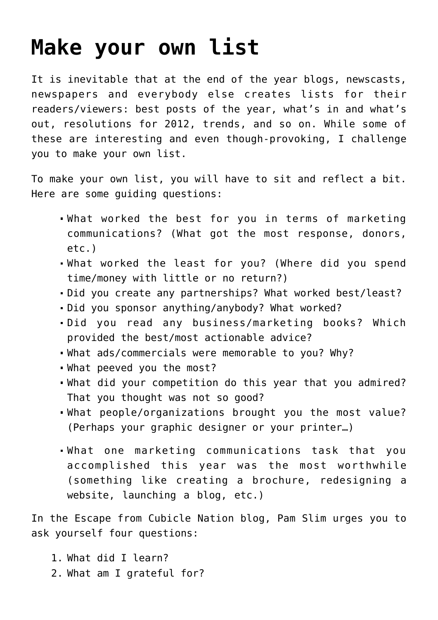## **[Make your own list](https://deborahbrody.com/2011/12/make-your-own-list/)**

It is inevitable that at the end of the year blogs, newscasts, newspapers and everybody else creates lists for their readers/viewers: best posts of the year, what's in and what's out, resolutions for 2012, trends, and so on. While some of these are interesting and even though-provoking, I challenge you to make your own list.

To make your own list, you will have to sit and reflect a bit. Here are some guiding questions:

- What worked the best for you in terms of marketing communications? (What got the most response, donors, etc.)
- What worked the least for you? (Where did you spend time/money with little or no return?)
- Did you create any partnerships? What worked best/least?
- Did you sponsor anything/anybody? What worked?
- Did you read any business/marketing books? Which provided the best/most actionable advice?
- What ads/commercials were memorable to you? Why?
- What peeved you the most?
- What did your competition do this year that you admired? That you thought was not so good?
- What people/organizations brought you the most value? (Perhaps your graphic designer or your printer…)
- What one marketing communications task that you accomplished this year was the most worthwhile (something like creating a brochure, redesigning a website, launching a blog, etc.)

In the [Escape from Cubicle Nation blog, Pam Slim urges you to](http://www.escapefromcubiclenation.com/2011/12/21/4-questions-to-ensure-2012-will-be-your-best-year-yet/) [ask yourself four questions:](http://www.escapefromcubiclenation.com/2011/12/21/4-questions-to-ensure-2012-will-be-your-best-year-yet/)

- 1. What did I learn?
- 2. What am I grateful for?